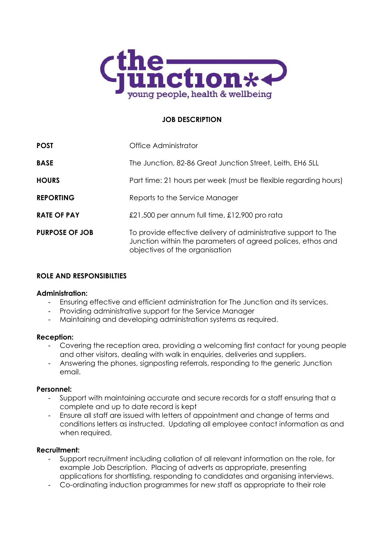

# **JOB DESCRIPTION**

| <b>POST</b>           | Office Administrator                                                                                                                                            |  |
|-----------------------|-----------------------------------------------------------------------------------------------------------------------------------------------------------------|--|
| <b>BASE</b>           | The Junction, 82-86 Great Junction Street, Leith, EH6 5LL                                                                                                       |  |
| <b>HOURS</b>          | Part time: 21 hours per week (must be flexible regarding hours)                                                                                                 |  |
| <b>REPORTING</b>      | Reports to the Service Manager                                                                                                                                  |  |
| <b>RATE OF PAY</b>    | £21,500 per annum full time, £12,900 pro rata                                                                                                                   |  |
| <b>PURPOSE OF JOB</b> | To provide effective delivery of administrative support to The<br>Junction within the parameters of agreed polices, ethos and<br>objectives of the organisation |  |

# **ROLE AND RESPONSIBILTIES**

## **Administration:**

- Ensuring effective and efficient administration for The Junction and its services.
- Providing administrative support for the Service Manager
- Maintaining and developing administration systems as required.

## **Reception:**

- Covering the reception area, providing a welcoming first contact for young people and other visitors, dealing with walk in enquiries, deliveries and suppliers.
- Answering the phones, signposting referrals, responding to the generic Junction email.

# **Personnel:**

- Support with maintaining accurate and secure records for a staff ensuring that a complete and up to date record is kept
- Ensure all staff are issued with letters of appointment and change of terms and conditions letters as instructed. Updating all employee contact information as and when required.

# **Recruitment:**

- Support recruitment including collation of all relevant information on the role, for example Job Description. Placing of adverts as appropriate, presenting applications for shortlisting, responding to candidates and organising interviews.
- Co-ordinating induction programmes for new staff as appropriate to their role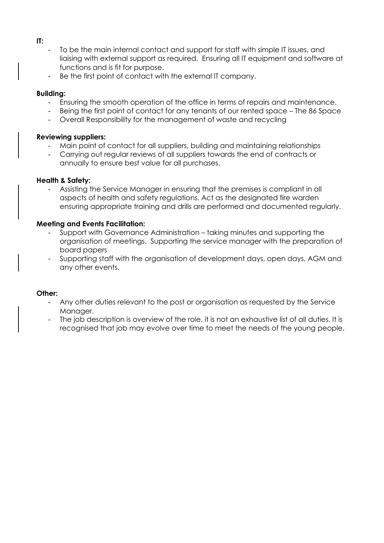### **IT:**

- To be the main internal contact and support for staff with simple IT issues, and liaising with external support as required. Ensuring all IT equipment and software at functions and is fit for purpose.
- Be the first point of contact with the external IT company.

## **Building:**

- Ensuring the smooth operation of the office in terms of repairs and maintenance.
- Being the first point of contact for any tenants of our rented space The 86 Space
- Overall Responsibility for the management of waste and recycling

## **Reviewing suppliers:**

- Main point of contact for all suppliers, building and maintaining relationships
- Carrying out regular reviews of all suppliers towards the end of contracts or annually to ensure best value for all purchases.

## **Health & Safety:**

Assisting the Service Manager in ensuring that the premises is compliant in all aspects of health and safety regulations. Act as the designated fire warden ensuring appropriate training and drills are performed and documented regularly.

## **Meeting and Events Facilitation:**

- Support with Governance Administration taking minutes and supporting the organisation of meetings. Supporting the service manager with the preparation of board papers
- Supporting staff with the organisation of development days, open days, AGM and any other events.

## **Other:**

- Any other duties relevant to the post or organisation as requested by the Service Manager.
- The job description is overview of the role, it is not an exhaustive list of all duties. It is recognised that job may evolve over time to meet the needs of the young people.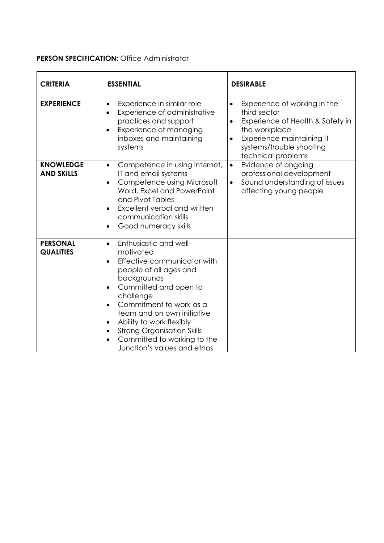# **PERSON SPECIFICATION:** Office Administrator

| <b>CRITERIA</b>                       | <b>ESSENTIAL</b>                                                                                                                                                                                                                                                                                                                                                                                           | <b>DESIRABLE</b>                                                                                                                                                                                                        |
|---------------------------------------|------------------------------------------------------------------------------------------------------------------------------------------------------------------------------------------------------------------------------------------------------------------------------------------------------------------------------------------------------------------------------------------------------------|-------------------------------------------------------------------------------------------------------------------------------------------------------------------------------------------------------------------------|
| <b>EXPERIENCE</b>                     | Experience in similar role<br>$\bullet$<br>Experience of administrative<br>$\bullet$<br>practices and support<br>Experience of managing<br>$\bullet$<br>inboxes and maintaining<br>systems                                                                                                                                                                                                                 | Experience of working in the<br>$\bullet$<br>third sector<br>Experience of Health & Safety in<br>$\bullet$<br>the workplace<br>Experience maintaining IT<br>$\bullet$<br>systems/trouble shooting<br>technical problems |
| <b>KNOWLEDGE</b><br><b>AND SKILLS</b> | Competence in using internet,<br>$\bullet$<br>IT and email systems<br>Competence using Microsoft<br>$\bullet$<br>Word, Excel and PowerPoint<br>and Pivot Tables<br>Excellent verbal and written<br>$\bullet$<br>communication skills<br>Good numeracy skills<br>$\bullet$                                                                                                                                  | Evidence of ongoing<br>$\bullet$<br>professional development<br>Sound understanding of issues<br>$\bullet$<br>affecting young people                                                                                    |
| <b>PERSONAL</b><br><b>QUALITIES</b>   | Enthusiastic and well-<br>$\bullet$<br>motivated<br>Effective communicator with<br>$\bullet$<br>people of all ages and<br>backgrounds<br>Committed and open to<br>$\bullet$<br>challenge<br>Commitment to work as a<br>$\bullet$<br>team and on own initiative<br>Ability to work flexibly<br>$\bullet$<br><b>Strong Organisation Skills</b><br>Committed to working to the<br>Junction's values and ethos |                                                                                                                                                                                                                         |